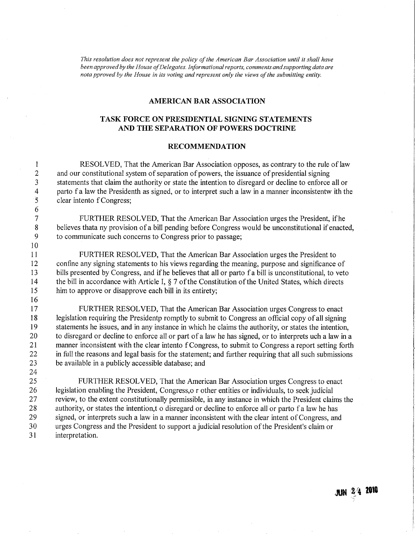This resolution does not represent the policy of the American Bar Association until it shall have been approved by the House of Delegates. Informational reports, comments and supporting data are nota pproved by the House in its voting and represent only the views of the submitting entity.

## AMERICAN BAR ASSOCIATION

# TASK FORCE ON PRESIDENTIAL SIGNING STATEMENTS AND THE SEPARATION OF POWERS DOCTRINE

### RECOMMENDATION

RESOLVED, That the American Bar Association opposes, as contrary to the rule of law and our constitutional system of separation of powers, the issuance of presidential signing statements that claim the authority or state the intention to disregard or decline to enforce all or parto f a law the Presidenth as signed, or to interpret such a law in a manner inconsistentw ith the clear intento f Congress;

21

23 24

FURTHER RESOLVED, That the American Bar Association urges the President, ifhe believes thata ny provision of a bill pending before Congress would be unconstitutional if enacted, to communicate such concerns to Congress prior to passage;

FURTHER RESOLVED, That the American Bar Association urges the President to confine any signing statements to his views regarding the meaning, purpose and significance of bils presented by Congress, and if he believes that all or parto f a bil is unconstitutional, to veto the bill in accordance with Article I,  $\S$  7 of the Constitution of the United States, which directs him to approve or disapprove each bill in its entirety;

17 18 19 20 22 FURTHER RESOLVED, That the American Bar Association urges Congress to enact legislation requiring the Presidentp romptly to submit to Congress an official copy of all signing statements he issues, and in any instance in which he claims the authority, or states the intention, to disregard or decline to enforce all or part of a law he has signed, or to interprets uch a law in a manner inconsistent with the clear intento f Congress, to submit to Congress a report setting forth in full the reasons and legal basis for the statement; and further requiring that all such submissions be available in a publicly accessible database; and

25 26 27 28 29 30 31 FURTHER RESOLVED, That the American Bar Association urges Congress to enact legislation enabling the President, Congress,o r other entities or individuals, to seek judicial review, to the extent constitutionally permissible, in any instance in which the President claims the authority, or states the intention,t 0 disregard or decline to enforce all or parto f a law he has signed, or interprets such a law in a manner inconsistent with the clear intent of Congress, and urges Congress and the President to support a judicial resolution of the President's claim or interpretation.

I

I

I

r.

i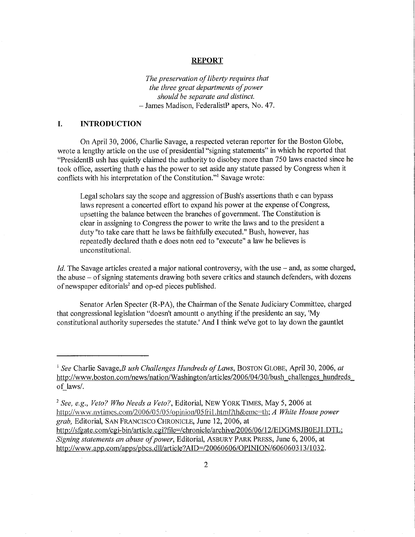### REPORT

The preservation of liberty requires that the three great departments of power should be separate and distinct. - James Madison, FederalistP apers, No. 47.

### I. INTRODUCTION

On April 30, 2006, Charlie Savage, a respected veteran reporter for the Boston Globe, wrote a lengthy article on the use of presidential "signing statements" in which he reported that "PresidentB ush has quietly claimed the authority to disobey more than 750 laws enacted since he took office, asserting thath e has the power to set aside any statute passed by Congress when it conflicts with his interpretation of the Constitution."! Savage wrote:

Legal scholars say the scope and aggression of Bush's assertions thath e can bypass laws represent a concerted effort to expand his power at the expense of Congress, upsetting the balance between the branches of government. The Constitution is clear in assigning to Congress the power to write the laws and to the president a duty "to take care thatt he laws be faithfully executed." Bush, however, has repeatedly declared thath e does notn eed to "execute" a law he believes is unconstitutionaL.

 $Id$ . The Savage articles created a major national controversy, with the use  $-$  and, as some charged, the abuse - of signing statements drawing both severe critics and staunch defenders, with dozens of newspaper editorials<sup>2</sup> and op-ed pieces published.

Senator Arlen Specter (R-PA), the Chairman of the Senate Judiciary Committee, charged that congressional legislation "doesn't amountt o anything if the presidentc an say, 'My constitutional authority supersedes the statute.' And I think we've got to lay down the gauntlet

<sup>&</sup>lt;sup>1</sup> See Charlie Savage, B ush Challenges Hundreds of Laws, BOSTON GLOBE, April 30, 2006, at http://www.boston.com/news/nation/Washington/articles/2006/04/3 O/bush challenges hundreds of laws/.

<sup>&</sup>lt;sup>2</sup> See, e.g., Veto? Who Needs a Veto?, Editorial, NEW YORK TIMES, May 5, 2006 at http://www.nytimes.com/2006/05/05/opinion/05 fri1.html?th&emc=th; A White House power grab, Editorial, SAN FRANCISCO CHRONICLE, June 12,2006, at http://sfgate.com/cgi-bin/article.cgi?file=/chronicle/archive/2006/06/12/EDGMSJB0EJ1.DTL; Signing statements an abuse of power, Editorial, ASBURY PARK PRESS, June 6, 2006, at http://www.app.com/apps/pbcs.dll/article?AID=/20060606/OPINION/606060313/1032.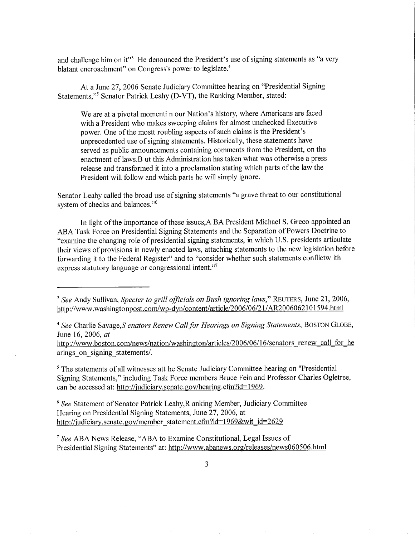and challenge him on it"<sup>3</sup> He denounced the President's use of signing statements as "a very blatant encroachment" on Congress's power to legislate.<sup>4</sup>

At a June 27,2006 Senate Judiciary Committee hearing on "Presidential Signing Statements,"<sup>5</sup> Senator Patrick Leahy (D-VT), the Ranking Member, stated:

We are at a pivotal momenti n our Nation's history, where Americans are faced with a President who makes sweeping claims for almost unchecked Executive power. One of the mostt roubling aspects of such claims is the President's unprecedented use of signing statements. Historically, these statements have served as public announcements containing comments from the President, on the enactment of laws.B ut this Administration has taken what was otherwise a press release and transformed it into a proclamation stating which parts of the law the President will follow and which parts he will simply ignore.

Senator Leahy called the broad use of signing statements "a grave threat to our constitutional system of checks and balances."<sup>6</sup>

In light of the importance of these issues, A BA President Michael S. Greco appointed an ABA Task Force on Presidential Signing Statements and the Separation of Powers Doctrine to "examine the changing role of presidential signing statements, in which U.S. presidents articulate their views of provisions in newly enacted laws, attaching statements to the new legislation before forwarding it to the Federal Register" and to "consider whether such statements conflictw ith express statutory language or congressional intent."<sup>7</sup>

<sup>4</sup> See Charlie Savage, S enators Renew Call for Hearings on Signing Statements, BOSTON GLOBE, June 16, 2006, at

http://www.boston.com/news/nation/washington/articles/2006/06116/senators renew call for he arings on signing statements/.

<sup>5</sup> The statements of all witnesses att he Senate Judiciary Committee hearing on "Presidential" Signing Statements," including Task Force members Bruce Fein and Professor Charles Ogletree, can be accessed at: http://judiciary.senate.gov/hearing.cfm?id=1969.

<sup>6</sup> See Statement of Senator Patrick Leahy, R anking Member, Judiciary Committee Hearing on Presidential Signing Statements, June 27,2006, at http://judiciary.senate.gov/member statement.cfm?id=1969&wit id=2629

7 See ABA News Release, "ABA to Examine Constitutional, Legal Issues of Presidential Signing Statements" at: http://www.abanews.org/releases/news060506.html

<sup>&</sup>lt;sup>3</sup> See Andy Sullivan, Specter to grill officials on Bush ignoring laws," REUTERS, June 21, 2006, http://www.washingtonpost.com/wp-dyn/content/article/2006/06/21/AR2006062101594.html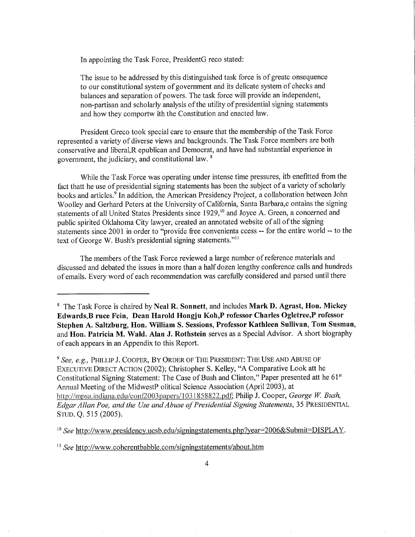In appointing the Task Force, PresidentG reco stated:

The issue to be addressed by this distinguished task force is of greatc onsequence to our constitutional system of government and its delicate system of checks and balances and separation of powers. The task force will provide an independent, non-partisan and scholarly analysis of the utility of presidential signing statements and how they comportw ith the Constitution and enacted law.

President Greco took special care to ensure that the membership of the Task Force represented a variety of diverse views and backgrounds. The Task Force members are both conservative and liberal,R epublican and Democrat, and have had substantial experience in government, the judiciary, and constitutional law. 8

While the Task Force was operating under intense time pressures, itb enefitted from the fact thatt he use of presidential signing statements has been the subject of a variety of scholarly books and articles.<sup>9</sup> In addition, the American Presidency Project, a collaboration between John Woolley and Gerhard Peters at the University of California, Santa Barbara,c ontains the signing statements of all United States Presidents since 1929,<sup>10</sup> and Joyce A. Green, a concerned and public spirited Oklahoma City lawyer, created an annotated website of all of the signing statements since 2001 in order to "provide free convenienta ccess -- for the entire world -- to the text of George W. Bush's presidential signing statements."<sup>11</sup>

The members of the Task Force reviewed a large number of reference materials and discussed and debated the issues in more than a half dozen lengthy conference calls and hundreds of emails. Every word of each recommendation was carefully considered and parsed until there

<sup>&</sup>lt;sup>8</sup> The Task Force is chaired by Neal R. Sonnett, and includes Mark D. Agrast, Hon. Mickey Edwards,B ruce Fein, Dean Harold Hongju Koh,P rofessor Charles Ogletree,P rofessor Stephen A. Saltzburg, Hon. Wiliam S. Sessions, Professor Kathleen Sullvan, Tom Susman, and Hon. Patricia M. Wald. Alan J. Rothstein serves as a Special Advisor. A short biography of each appears in an Appendix to this Report.

<sup>&</sup>lt;sup>9</sup> See, e.g., PHILLIP J. COOPER, BY ORDER OF THE PRESIDENT: THE USE AND ABUSE OF EXECUTIVE DIRECT ACTION (2002); Christopher S. Kelley, "A Comparative Look att he Constitutional Signing Statement: The Case of Bush and Clinton," Paper presented att he 61<sup>st</sup> Annual Meeting of the MidwestP olitical Science Association (April 2003), at http://mpsa.indiana.edu/conf2003papers/1031858822.pdf; Philip J. Cooper, George W. Bush, Edgar Allan Poe, and the Use and Abuse of Presidential Signing Statements, 35 PRESIDENTIAL STUD. Q. 515 (2005).

 $10$  See http://www.presidency.ucsb.edu/signingstatements.php?year=2006&Submit=DISPLAY.

 $11$  See http://www.coherentbabble.com/signingstatements/about.htm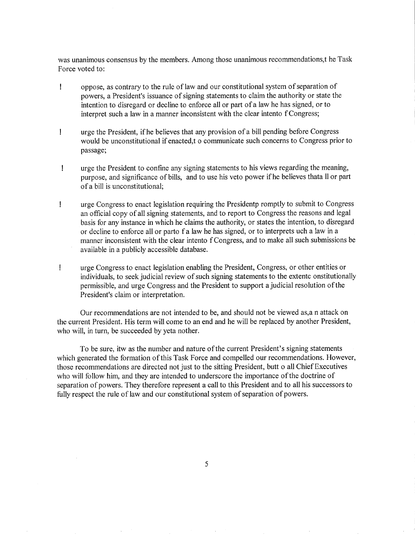was unanimous consensus by the members. Among those unanimous recommendations,t he Task Force voted to:

- $\mathbf{I}$ oppose, as contrary to the rule oflaw and our constitutional system of separation of powers, a President's issuance of signing statements to claim the authority or state the intention to disregard or decline to enforce all or part of a law he has signed, or to interpret such a law in a manner inconsistent with the clear intento f Congress;
- urge the President, if he believes that any provision of a bil pending before Congress  $\mathbf{I}$ would be unconstitutional if enacted,t 0 communicate such concerns to Congress prior to passage;
- $\mathbf{I}$ urge the President to confine any signing statements to his views regarding the meaning, purpose, and significance of bils, and to use his veto power ifhe believes thata II or part of a bill is unconstitutional;
- urge Congress to enact legislation requiring the Presidentp romptly to submit to Congress Ţ an official copy of all signing statements, and to report to Congress the reasons and legal basis for any instance in which he claims the authority, or states the intention, to disregard or decline to enforce all or parto f a law he has signed, or to interprets uch a law in a manner inconsistent with the clear intento f Congress, and to make all such submissions be available in a publicly accessible database.
- Ţ urge Congress to enact legislation enabling the President, Congress, or other entities or individuals, to seek judicial review of such signing statements to the extentc onstitutionally permissible, and urge Congress and the President to support a judicial resolution ofthe President's claim or interpretation.

Our recommendations are not intended to be, and should not be viewed aS,a n attack on the current President. His term will come to an end and he will be replaced by another President, who will, in turn, be succeeded by yeta nother.

To be sure, itw as the number and nature of the current President's signing statements which generated the formation of this Task Force and compelled our recommendations. However, those recommendations are directed not just to the sitting President, butt 0 all Chief Executives who will follow him, and they are intended to underscore the importance of the doctrine of separation of powers. They therefore represent a call to this President and to all his successors to fully respect the rule of law and our constitutional system of separation of powers.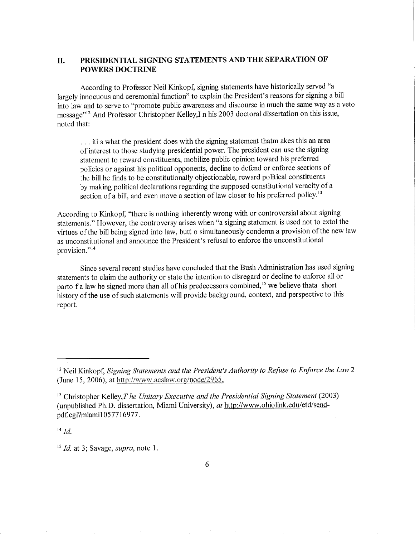# II. PRESIDENTIAL SIGNING STATEMENTS AND THE SEPARATION OF POWERS DOCTRINE

According to Professor Neil Kinkopf, signing statements have historically served "a largely inocuous and ceremonial function" to explain the President's reasons for signing a bil into law and to serve to "promote public awareness and discourse in much the same way as a veto message"12 And Professor Christopher Kelley,! n his 2003 doctoral dissertation on this issue, noted that:

. . . iti s what the president does with the signing statement thatm akes this an area of interest to those studying presidential power. The president can use the signing statement to reward constituents, mobilize public opinion toward his preferred policies or against his political opponents, decline to defend or enforce sections of the bill he finds to be constitutionally objectionable, reward political constituents by making political declarations regarding the supposed constitutional veracity of a section of a bill, and even move a section of law closer to his preferred policy.<sup>13</sup>

According to Kinkopf, "there is nothing inherently wrong with or controversial about signing statements." However, the controversy arises when "a signing statement is used not to extol the virtues of the bill being signed into law, butt o simultaneously condemn a provision of the new law as unconstitutional and announce the President's refusal to enforce the unconstitutional provision."14

Since several recent studies have concluded that the Bush Administration has used signing statements to claim the authority or state the intention to disregard or decline to enforce all or parto f a law he signed more than all of his predecessors combined,<sup>15</sup> we believe thata short history of the use of such statements will provide background, context, and perspective to this report.

 $^{14}$  Id.

 $15$  *Id.* at 3; Savage, *supra*, note 1.

 $12$  Neil Kinkopf, Signing Statements and the President's Authority to Refuse to Enforce the Law 2 (June 15, 2006), at http://www.acslaw.org/node/2965.

<sup>&</sup>lt;sup>13</sup> Christopher Kelley, *T* he Unitary Executive and the Presidential Signing Statement (2003) (unpublished Ph.D. dissertation, Miami University), at http://www.ohiolink.edu/etd/sendpd£cgi?miamil 057716977.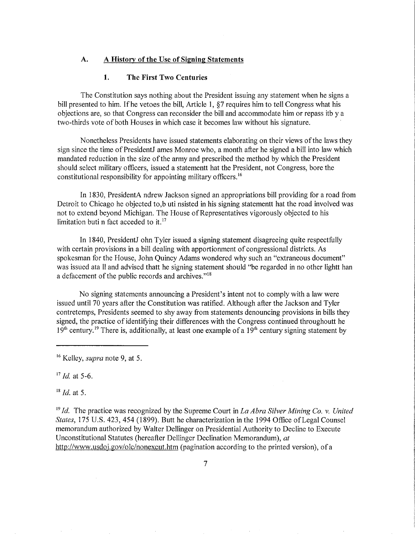#### A. A History of the Use of Signing Statements

### 1. The First Two Centuries

The Constitution says nothing about the President issuing any statement when he signs a bill presented to him. If he vetoes the bill, Article 1, §7 requires him to tell Congress what his objections are, so that Congress can reconsider the bill and accommodate him or repass itb y a two-thirds vote of both Houses in which case it becomes law without his signature.

Nonetheless Presidents have issued statements elaborating on their views of the laws they sign since the time of PresidentJ ames Monroe who, a month after he signed a bill into law which mandated reduction in the size of the army and prescribed the method by which the President should select military officers, issued a statementt hat the President, not Congress, bore the constitutional responsibility for appointing military officers.  $16$ 

In 1830, PresidentA ndrew Jackson signed an appropriations bill providing for a road from Detroit to Chicago he objected to,b uti nsisted in his signing statementt hat the road involved was not to extend beyond Michigan. The House of Representatives vigorously objected to his limitation buti n fact acceded to it. $17$ 

In 1840, PresidentJ ohn Tyler issued a signing statement disagreeing quite respectfully with certain provisions in a bil dealing with apportionment of congressional districts. As spokesman for the House, John Quincy Adams wondered why such an "extraneous document" was issued ata li and advised thatt he signing statement should "be regarded in no other lightt han a defacement of the public records and archives."18

No signing statements announcing a President's intent not to comply with a law were issued until 70 years after the Constitution was ratified. Although after the Jackson and Tyler contretemps, Presidents seemed to shy away from statements denouncing provisions in bils they signed, the practice of identifying their differences with the Congress continued throughoutt he  $19<sup>th</sup>$  century.<sup>19</sup> There is, additionally, at least one example of a  $19<sup>th</sup>$  century signing statement by

 $17$  *Id.* at 5-6.

 $18$  *Id.* at 5.

<sup>19</sup> Id. The practice was recognized by the Supreme Court in La Abra Silver Mining Co. v. United States, 175 U.S. 423, 454 (1899). Butt he characterization in the 1994 Office of Legal Counsel memorandum authorized by Walter Dellinger on Presidential Authority to Decline to Execute Unconstitutional Statutes (hereafter Dellinger Declination Memorandum), at http://www.usdoj.gov/olc/nonexcut.htm (pagination according to the printed version), of a

<sup>&</sup>lt;sup>16</sup> Kelley, *supra* note 9, at 5.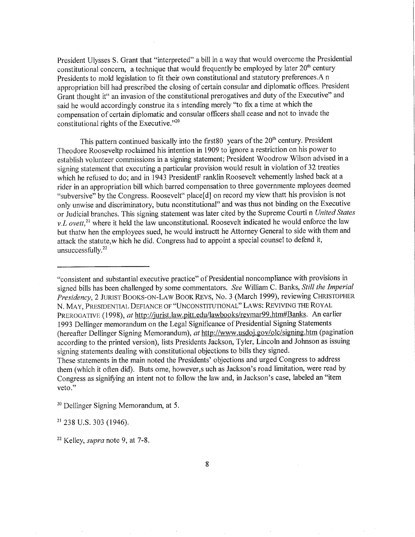President Ulysses S. Grant that "interpreted" a bil in a way that would overcome the Presidential constitutional concern, a technique that would frequently be employed by later  $20<sup>th</sup>$  century Presidents to mold legislation to fit their own constitutional and statutory preferences.A n appropriation bill had prescribed the closing of certain consular and diplomatic offices. President Grant thought it" an invasion ofthe constitutional prerogatives and duty of the Executive" and said he would accordingly construe ita s intending merely "to fix a time at which the compensation of certain diplomatic and consular officers shall cease and not to invade the constitutional rights of the Executive. $v_{20}$ 

This pattern continued basically into the first 80 years of the  $20<sup>th</sup>$  century. President Theodore Rooseveltp roclaimed his intention in 1909 to ignore a restriction on his power to establish volunteer commissions in a signing statement; President Woodrow Wilson advised in a signing statement that executing a particular provision would result in violation of 32 treaties which he refused to do; and in 1943 PresidentF ranklin Roosevelt vehemently lashed back at a rider in an appropriation bil which barred compensation to three governmente mployees deemed "subversive" by the Congress. Roosevelt" place<sup>[d]</sup> on record my view thatt his provision is not only unwise and discriminatory, butu nconstitutional" and was thus not binding on the Executive or Judicial branches. This signing statement was later cited by the Supreme Courti n United States v. L ovett,<sup>21</sup> where it held the law unconstitutional. Roosevelt indicated he would enforce the law but thatw hen the employees sued, he would instructt he Attorney General to side with them and attack the statute,w hich he did. Congress had to appoint a special counsel to defend it, unsuccessfully.<sup>22</sup>

"consistent and substantial executive practice" of Presidential noncompliance with provisions in signed bills has been challenged by some commentators. See William C. Banks, Still the Imperial Presidency, 2 JURIST BOOKS-ON-LAW BOOK REvs, NO.3 (March 1999), reviewing CHRISTOPHER N. MAY, PRESIDENTIAL DEFIANCE OF "UNCONSTITUTIONAL" LAWS: REVIVING THE ROYAL PREROGATIVE (1998), at http://jurist.law.pitt.edu/lawbooks/revmar99.htm#Banks. An earlier 1993 Dellinger memorandum on the Legal Significance of Presidential Signing Statements (hereafter Dellinger Signing Memorandum), at http://www.usdoj.gov/olc/signing.htm (pagination according to the printed version), lists Presidents Jackson, Tyler, Lincoln and Johnson as issuing signing statements dealing with constitutional objections to bils they signed. These statements in the main noted the Presidents' objections and urged Congress to address them (which it often did). Buts ome, however,s uch as Jackson's road limitation, were read by Congress as signifying an intent not to follow the law and, in Jackson's case, labeled an "item veto."

20 Dellinger Signing Memorandum, at 5.

21238 U.S. 303 (1946).

22 Kelley, supra note 9, at 7-8.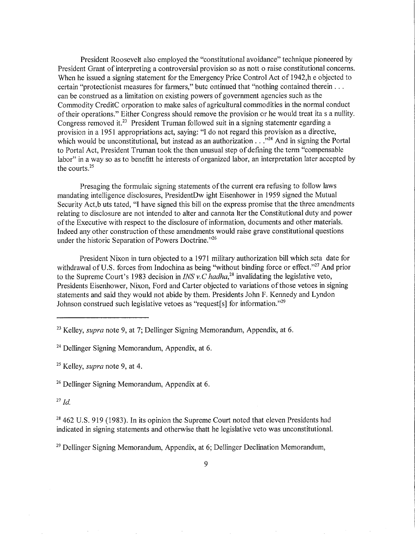President Roosevelt also employed the "constitutional avoidance" technique pioneered by President Grant of interpreting a controversial provision so as nott o raise constitutional concerns. When he issued a signing statement for the Emergency Price Control Act of 1942,h e objected to certain "protectionist measures for farmers," butc ontinued that "nothing contained therein... can be construed as a limitation on existing powers of government agencies such as the Commodity CreditC orporation to make sales of agricultural commodities in the normal conduct of their operations." Either Congress should remove the provision or he would treat ita s a nullty. Congress removed it.<sup>23</sup> President Truman followed suit in a signing statementr egarding a provision in a 1951 appropriations act, saying: "I do not regard this provision as a directive, which would be unconstitutional, but instead as an authorization  $\ldots$ . ...,<sup>324</sup> And in signing the Portal to Portal Act, President Truman took the then unusual step of defining the term "compensable labor" in a way so as to benefitt he interests of organized labor, an interpretation later accepted by the courts.25

Presaging the formulaic signing statements of the current era refusing to follow laws mandating intellgence disclosures, PresidentDw ight Eisenhower in 1959 signed the Mutual Security Act,b uts tated, "I have signed this bill on the express promise that the three amendments relating to disclosure are not intended to alter and cannota lter the Constitutional duty and power of the Executive with respect to the disclosure of information, documents and other materials. Indeed any other construction of these amendments would raise grave constitutional questions under the historic Separation of Powers Doctrine."26

President Nixon in turn objected to a 1971 military authorization bill which seta date for withdrawal of U.S. forces from Indochina as being "without binding force or effect."<sup>27</sup> And prior to the Supreme Court's 1983 decision in INS v.C hadha,<sup>28</sup> invalidating the legislative veto, Presidents Eisenhower, Nixon, Ford and Carter objected to variations of those vetoes in signing statements and said they would not abide by them. Presidents John F. Kennedy and Lyndon Johnson construed such legislative vetoes as "request[s] for information."<sup>29</sup>

<sup>26</sup> Dellinger Signing Memorandum, Appendix at 6.

 $^{27}$  Id.

 $28$  462 U.S. 919 (1983). In its opinion the Supreme Court noted that eleven Presidents had indicated in signing statements and otherwise thatt he legislative veto was unconstitutionaL.

<sup>29</sup> Dellinger Signing Memorandum, Appendix, at 6; Dellinger Declination Memorandum,

 $^{23}$  Kelley, *supra* note 9, at 7; Dellinger Signing Memorandum, Appendix, at 6.

<sup>&</sup>lt;sup>24</sup> Dellinger Signing Memorandum, Appendix, at 6.

 $25$  Kelley, *supra* note 9, at 4.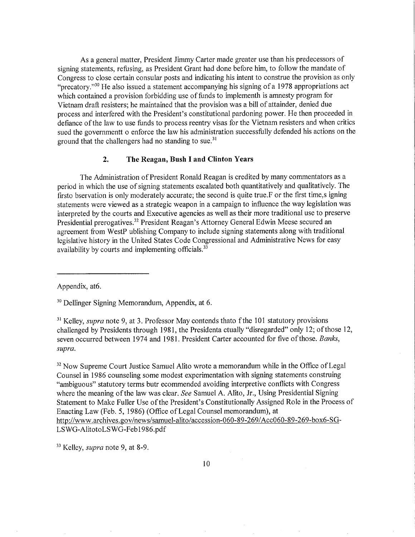As a general matter, President Jimy Carter made greater use than his predecessors of signing statements, refusing, as President Grant had done before him, to follow the mandate of Congress to close certain consular posts and indicating his intent to construe the provision as only "precatory."<sup>30</sup> He also issued a statement accompanying his signing of a 1978 appropriations act which contained a provision forbidding use of funds to implementh is amnesty program for Vietnam draft resisters; he maintained that the provision was a bil of attainder, denied due process and interfered with the President's constitutional pardoning power. He then proceeded in defiance ofthe law to use funds to process reentry visas for the Vietnam resisters and when critics sued the governmentt 0 enforce the law his administration successfully defended his actions on the ground that the challengers had no standing to sue.<sup>31</sup>

#### 2. The Reagan, Bush I and Clinton Years

The Administration of President Ronald Reagan is credited by many commentators as a period in which the use of signing statements escalated both quantitatively and qualitatively. The firsto bservation is only moderately accurate; the second is quite true.F or the first time,s igning statements were viewed as a strategic weapon in a campaign to influence the way legislation was interpreted by the courts and Executive agencies as well as their more traditional use to preserve Presidential prerogatives.<sup>32</sup> President Reagan's Attorney General Edwin Meese secured an agreement from WestP ublishing Company to include signing statements along with traditional legislative history in the United States Code Congressional and Administrative News for easy availability by courts and implementing officials. $33$ 

Appendix, at6.

<sup>32</sup> Now Supreme Court Justice Samuel Alito wrote a memorandum while in the Office of Legal Counsel in 1986 counseling some modest experimentation with signing statements construing "ambiguous" statutory terms butr ecommended avoiding interpretive conflicts with Congress where the meaning of the law was clear. See Samuel A. Alito, Jr., Using Presidential Signing Statement to Make Fuller Use of the President's Constitutionally Assigned Role in the Process of Enacting Law (Feb. 5, 1986) (Office of Legal Counsel memorandum), at http://www.archives.gov/news/samuel-alito/accession-060-89-269/Acc060-89-269-box6-SG-LSWG-AlitotoLSWG-Feb 1986.pdf

<sup>33</sup> Kelley, *supra* note 9, at 8-9.

<sup>&</sup>lt;sup>30</sup> Dellinger Signing Memorandum, Appendix, at 6.

 $31$  Kelley, *supra* note 9, at 3. Professor May contends thato f the 101 statutory provisions challenged by Presidents through 1981, the Presidenta ctually "disregarded" only 12; of those 12, seven occurred between 1974 and 1981. President Carter accounted for five of those. Banks, supra.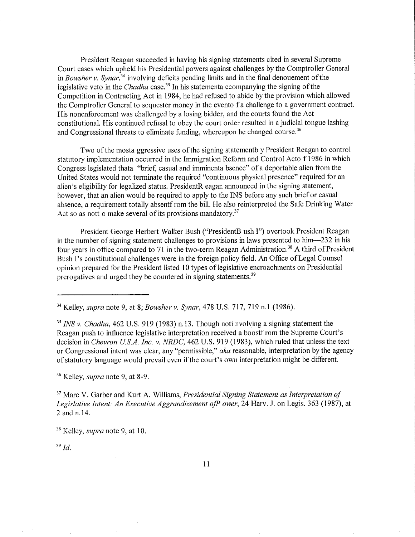President Reagan succeeded in having his signing statements cited in several Supreme Court cases which upheld his Presidential powers against challenges by the Comptroller General in Bowsher v. Synar,<sup>34</sup> involving deficits pending limits and in the final denouement of the legislative veto in the *Chadha* case.<sup>35</sup> In his statementa ccompanying the signing of the Competition in Contracting Act in 1984, he had refused to abide by the provision which allowed the Comptroller General to sequester money in the evento f a challenge to a government contract. His nonenforcement was challenged by a losing bidder, and the courts found the Act constitutionaL. His continued refusal to obey the court order resulted in a judicial tongue lashing and Congressional threats to eliminate funding, whereupon he changed course.<sup>36</sup>

Two of the mosta ggressive uses of the signing statementb y President Reagan to control statutory implementation occurred in the Immigration Reform and Control Acto f 1986 in which Congress legislated thata "brief, casual and imminenta bsence" of a deportable alien from the United States would not terminate the required "continuous physical presence" required for an alien's eligibility for legalized status. PresidentR eagan announced in the signing statement, however, that an alien would be required to apply to the INS before any such brief or casual absence, a requirement totally absentf rom the bilL. He also reinterpreted the Safe Drinking Water Act so as nott o make several of its provisions mandatory.<sup>37</sup>

President George Herbert Walker Bush ("PresidentB ush I") overtook President Reagan in the number of signing statement challenges to provisions in laws presented to him-232 in his four years in office compared to 71 in the two-term Reagan Administration.<sup>38</sup> A third of President Bush I's constitutional challenges were in the foreign policy field. An Office of Legal Counsel opinion prepared for the President listed 10 types of legislative encroachments on Presidential prerogatives and urged they be countered in signing statements.<sup>39</sup>

36 Kelley, supra note 9, at 8-9.

 $37$  Marc V. Garber and Kurt A. Williams, *Presidential Signing Statement as Interpretation of* Legislative Intent: An Executive Aggrandizement ofP ower, 24 Harv. J. on Legis. 363 (1987), at 2 and n.14.

38 Kelley, supra note 9, at 10.

 $39$  Id.

 $34$  Kelley, *supra* note 9, at 8; *Bowsher v. Synar*, 478 U.S. 717, 719 n.1 (1986).

 $35$  INS v. Chadha, 462 U.S. 919 (1983) n.13. Though noti nvolving a signing statement the Reagan push to influence legislative interpretation received a boostf rom the Supreme Court's decision in *Chevron U.S.A. Inc. v. NRDC*, 462 U.S. 919 (1983), which ruled that unless the text or Congressional intent was clear, any "permissible," aka reasonable, interpretation by the agency of statutory language would prevail even if the court's own interpretation might be different.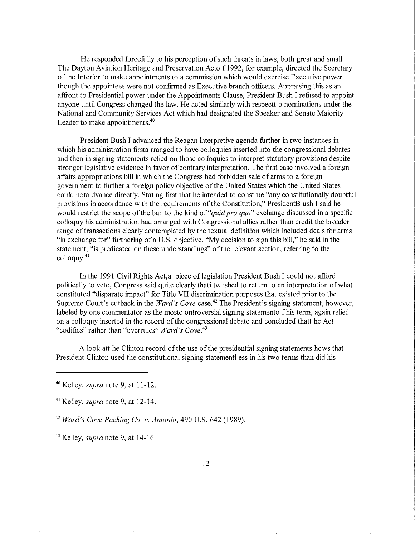He responded forcefully to his perception of such threats in laws, both great and smalL. The Dayton Aviation Heritage and Preservation Acto f 1992, for example, directed the Secretary of the Interior to make appointments to a commission which would exercise Executive power though the appointees were not confirmed as Executive branch officers. Appraising this as an affont to Presidential power under the Appointments Clause, President Bush I refused to appoint anyone until Congress changed the law. He acted similarly with respectt 0 nominations under the National and Community Services Act which had designated the Speaker and Senate Majority Leader to make appointments.<sup>40</sup>

President Bush I advanced the Reagan interpretive agenda further in two instances in which his administration firsta rranged to have colloquies inserted into the congressional debates and then in signing statements relied on those colloquies to interpret statutory provisions despite stronger legislative evidence in favor of contrary interpretation. The first case involved a foreign affairs appropriations bil in which the Congress had forbidden sale of arms to a foreign government to further a foreign policy objective of the United States which the United States could nota dvance directly. Stating first that he intended to construe "any constitutionally doubtful provisions in accordance with the requirements of the Constitution," PresidentB ush I said he would restrict the scope of the ban to the kind of "*quid pro quo*" exchange discussed in a specific colloquy his administration had arranged with Congressional alles rather than credit the broader range of transactions clearly contemplated by the textual definition which included deals for arms "in exchange for" furthering of a U.S. objective. "My decision to sign this bil," he said in the statement, "is predicated on these understandings" of the relevant section, referring to the colloquy.41

In the 1991 Civil Rights Act,a piece of legislation President Bush I could not afford politically to veto, Congress said quite clearly thati tw ished to return to an interpretation of what constituted "disparate impact" for Title VII discrimination purposes that existed prior to the Supreme Court's cutback in the *Ward's Cove* case.<sup>42</sup> The President's signing statement, however, labeled by one commentator as the mostc ontroversial signing statemento fhis term, again relied on a colloquy inserted in the record of the congressional debate and concluded thatt he Act "codifies" rather than "overrules" Ward's Cove. $43$ 

A look att he Clinton record ofthe use of the presidential signing statements hows that President Clinton used the constitutional signing statementl ess in his two terms than did his

<sup>43</sup> Kelley, *supra* note 9, at 14-16.

 $40$  Kelley, *supra* note 9, at 11-12.

<sup>41</sup> Kelley, supra note 9, at 12-14.

 $42$  Ward's Cove Packing Co. v. Antonio, 490 U.S. 642 (1989).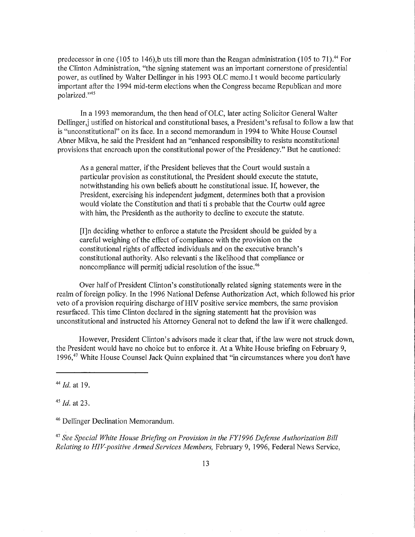predecessor in one (105 to 146),b uts till more than the Reagan administration (105 to 71).<sup>44</sup> For the Clinton Administration, "the signing statement was an important cornerstone of presidential power, as outlined by Walter Dellinger in his 1993 OLC memo.! t would become particularly important after the 1994 mid-term elections when the Congress became Republican and more polarized."45

In a 1993 memorandum, the then head of OLC, later acting Solicitor General Walter Dellinger,j ustified on historical and constitutional bases, a President's refusal to follow a law that is "unconstitutional" on its face. In a second memorandum in 1994 to White House Counsel Abner Mikva, he said the President had an "enhanced responsibilty to resistu nconstitutional provisions that encroach upon the constitutional power of the Presidency." But he cautioned:

As a general matter, if the President believes that the Court would sustain a particular provision as constitutional, the President should execute the statute, notwithstanding his own beliefs aboutt he constitutional issue. If, however, the President, exercising his independent judgment, determines both that a provision would violate the Constitution and thati ti s probable that the Courtw ould agree with him, the Presidenth as the authority to decline to execute the statute.

(IJn deciding whether to enforce a statute the President should be guided by a careful weighing of the effect of compliance with the provision on the constitutional rights of affected individuals and on the executive branch's constitutional authority. Also relevanti s the likelihood that compliance or noncompliance will permitj udicial resolution of the issue.<sup>46</sup>

Over half of President Clinton's constitutionally related signing statements were in the realm of foreign policy. In the 1996 National Defense Authorization Act, which followed his prior veto of a provision requiring discharge of HI V positive service members, the same provision resurfaced. This time Clinton declared in the signing statementt hat the provision was unconstitutional and instructed his Attorney General not to defend the law if it were challenged.

However, President Clinton's advisors made it clear that, if the law were not struck down, the President would have no choice but to enforce it. At a White House briefing on February 9, 1996,47 White House Counsel Jack Quinn explained that "in circumstances where you don't have

 $45$  *Id.* at 23.

46 Dellinger Declination Memorandum.

 $47$  See Special White House Briefing on Provision in the FY1996 Defense Authorization Bill Relating to HIV-positive Armed Services Members, February 9, 1996, Federal News Service,

 $44$  *Id.* at 19.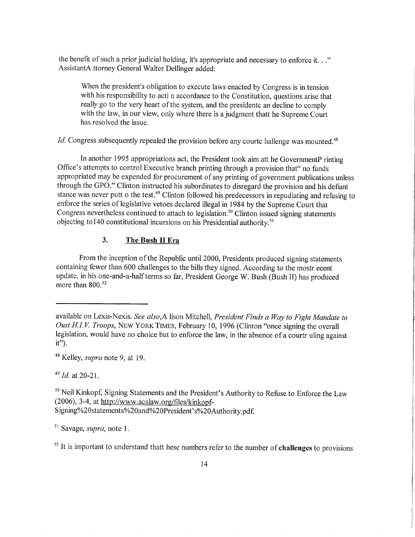the benefit of such a prior judicial holding, it's appropriate and necessary to enforce it. . ." AssistantA ttorney General Walter Dellinger added:

When the president's obligation to execute laws enacted by Congress is in tension with his responsibilty to acti n accordance to the Constitution, questions arise that really go to the very heart of the system, and the presidentc an decline to comply with the law, in our view, only where there is a judgment thatt he Supreme Court has resolved the issue.

Id. Congress subsequently repealed the provision before any courte hallenge was mounted.<sup>48</sup>

In another 1995 appropriations act, the President took aim att he GovernmentP rinting Office's attempts to control Executive branch printing through a provision that" no funds appropriated may be expended for procurement of any printing of government publications unless through the GPO." Clinton instructed his subordinates to disregard the provision and his defiant stance was never putt o the test.<sup>49</sup> Clinton followed his predecessors in repudiating and refusing to enforce the series of legislative vetoes declared ilegal in 1984 by the Supreme Court that Congress nevertheless continued to attach to legislation.<sup>50</sup> Clinton issued signing statements objecting to 140 constitutional incursions on his Presidential authority.<sup>51</sup>

## 3. The Bush II Era

From the inception of the Republic until 2000, Presidents produced signing statements containing fewer than 600 challenges to the bils they signed. According to the mostr ecent update, in his one-and-a-half terms so far, President George W. Bush (Bush II) has produced more than  $800.^{52}$ 

r

48 Kelley, supra note 9, at 19.

 $49$  *Id.* at 20-21.

<sup>51</sup> Savage, *supra*, note 1.

 $52$  It is important to understand thatt hese numbers refer to the number of challenges to provisions

available on Lexis-Nexis. See also, A lison Mitchell, President Finds a Way to Fight Mandate to Oust H.I.V. Troops, NEW YORK TIMES, February 10, 1996 (Clinton "once signing the overall legislation, would have no choice but to enforce the law, in the absence of a courtr uling against it").

<sup>&</sup>lt;sup>50</sup> Neil Kinkopf, Signing Statements and the President's Authority to Refuse to Enforce the Law (2006), 3-4, at http://www.acslaw.org/fies/kinkopf-S igning%20statements%20and %20President' s%20Authority. pdf